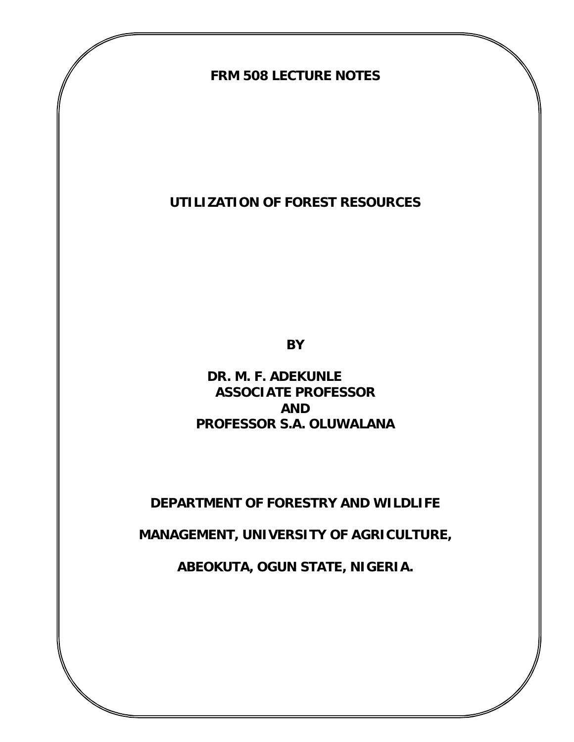**FRM 508 LECTURE NOTES**

**UTILIZATION OF FOREST RESOURCES**

**BY**

 **DR. M. F. ADEKUNLE ASSOCIATE PROFESSOR AND PROFESSOR S.A. OLUWALANA**

**DEPARTMENT OF FORESTRY AND WILDLIFE**

**MANAGEMENT, UNIVERSITY OF AGRICULTURE,** 

**ABEOKUTA, OGUN STATE, NIGERIA.**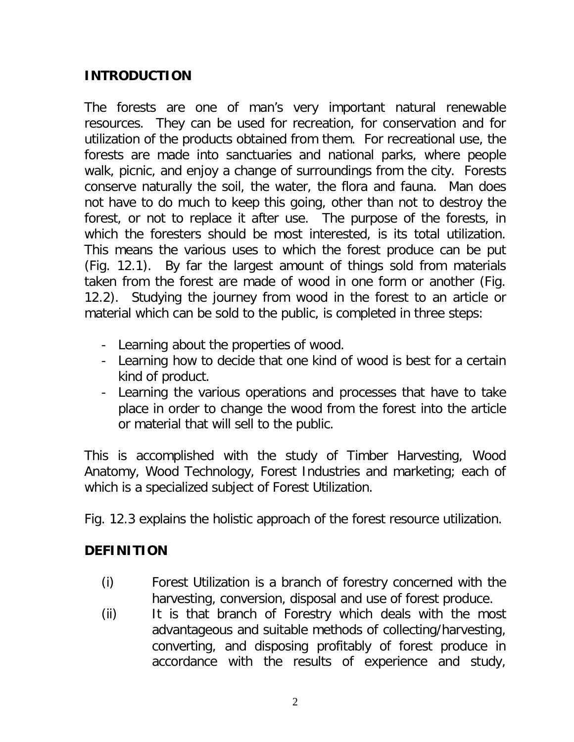## **INTRODUCTION**

The forests are one of man's very important natural renewable resources. They can be used for recreation, for conservation and for utilization of the products obtained from them. For recreational use, the forests are made into sanctuaries and national parks, where people walk, picnic, and enjoy a change of surroundings from the city. Forests conserve naturally the soil, the water, the flora and fauna. Man does not have to do much to keep this going, other than not to destroy the forest, or not to replace it after use. The purpose of the forests, in which the foresters should be most interested, is its total utilization. This means the various uses to which the forest produce can be put (Fig. 12.1). By far the largest amount of things sold from materials taken from the forest are made of wood in one form or another (Fig. 12.2). Studying the journey from wood in the forest to an article or material which can be sold to the public, is completed in three steps:

- Learning about the properties of wood.
- Learning how to decide that one kind of wood is best for a certain kind of product.
- Learning the various operations and processes that have to take place in order to change the wood from the forest into the article or material that will sell to the public.

This is accomplished with the study of Timber Harvesting, Wood Anatomy, Wood Technology, Forest Industries and marketing; each of which is a specialized subject of Forest Utilization.

Fig. 12.3 explains the holistic approach of the forest resource utilization.

### **DEFINITION**

- (i) *Forest Utilization* is a branch of forestry concerned with the harvesting, conversion, disposal and use of forest produce.
- (ii) It is that branch of Forestry which deals with the most advantageous and suitable methods of collecting/harvesting, converting, and disposing profitably of forest produce in accordance with the results of experience and study,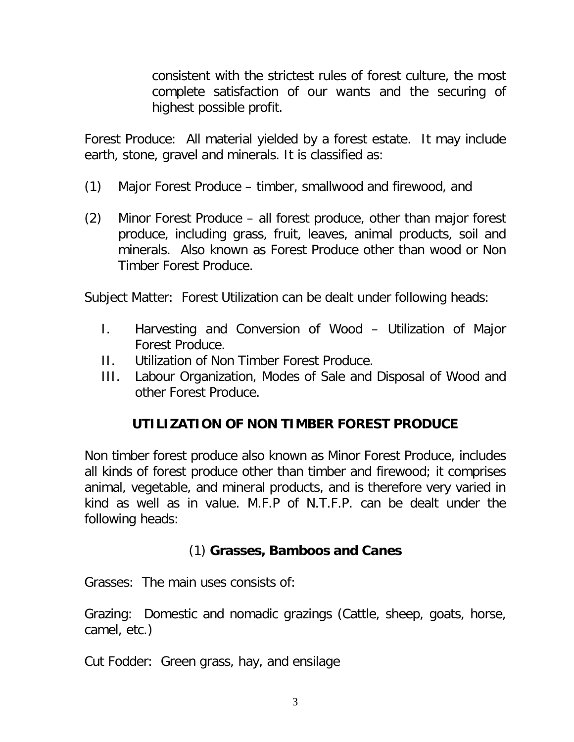consistent with the strictest rules of forest culture, the most complete satisfaction of our wants and the securing of highest possible profit.

*Forest Produce:* All material yielded by a forest estate. It may include earth, stone, gravel and minerals. It is classified as:

- (1) Major Forest Produce timber, smallwood and firewood, and
- (2) Minor Forest Produce all forest produce, other than major forest produce, including grass, fruit, leaves, animal products, soil and minerals. Also known as Forest Produce other than wood or Non Timber Forest Produce.

*Subject Matter*: Forest Utilization can be dealt under following heads:

- I. Harvesting and Conversion of Wood Utilization of Major Forest Produce.
- II. Utilization of Non Timber Forest Produce.
- III. Labour Organization, Modes of Sale and Disposal of Wood and other Forest Produce.

### **UTILIZATION OF NON TIMBER FOREST PRODUCE**

Non timber forest produce also known as Minor Forest Produce, includes all kinds of forest produce other than timber and firewood; it comprises animal, vegetable, and mineral products, and is therefore very varied in kind as well as in value. M.F.P of N.T.F.P. can be dealt under the following heads:

#### (1) **Grasses, Bamboos and Canes**

*Grasses*: The main uses consists of:

*Grazing:* Domestic and nomadic grazings (Cattle, sheep, goats, horse, camel, etc.)

*Cut Fodder*: Green grass, hay, and ensilage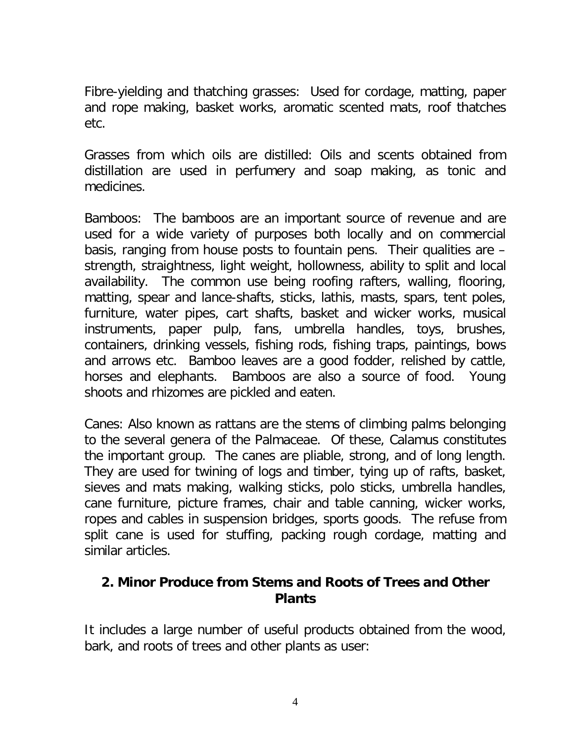*Fibre-yielding and thatching grasses*: Used for cordage, matting, paper and rope making, basket works, aromatic scented mats, roof thatches etc.

*Grasses from which oils are distilled*: Oils and scents obtained from distillation are used in perfumery and soap making, as tonic and medicines.

*Bamboos*: The bamboos are an important source of revenue and are used for a wide variety of purposes both locally and on commercial basis, ranging from house posts to fountain pens. Their qualities are – strength, straightness, light weight, hollowness, ability to split and local availability. The common use being roofing rafters, walling, flooring, matting, spear and lance-shafts, sticks, lathis, masts, spars, tent poles, furniture, water pipes, cart shafts, basket and wicker works, musical instruments, paper pulp, fans, umbrella handles, toys, brushes, containers, drinking vessels, fishing rods, fishing traps, paintings, bows and arrows etc. Bamboo leaves are a good fodder, relished by cattle, horses and elephants. Bamboos are also a source of food. Young shoots and rhizomes are pickled and eaten.

*Canes*: Also known as rattans are the stems of climbing palms belonging to the several genera of the Palmaceae. Of these, Calamus constitutes the important group. The canes are pliable, strong, and of long length. They are used for twining of logs and timber, tying up of rafts, basket, sieves and mats making, walking sticks, polo sticks, umbrella handles, cane furniture, picture frames, chair and table canning, wicker works, ropes and cables in suspension bridges, sports goods. The refuse from split cane is used for stuffing, packing rough cordage, matting and similar articles.

### **2. Minor Produce from Stems and Roots of Trees and Other Plants**

It includes a large number of useful products obtained from the wood, bark, and roots of trees and other plants as user: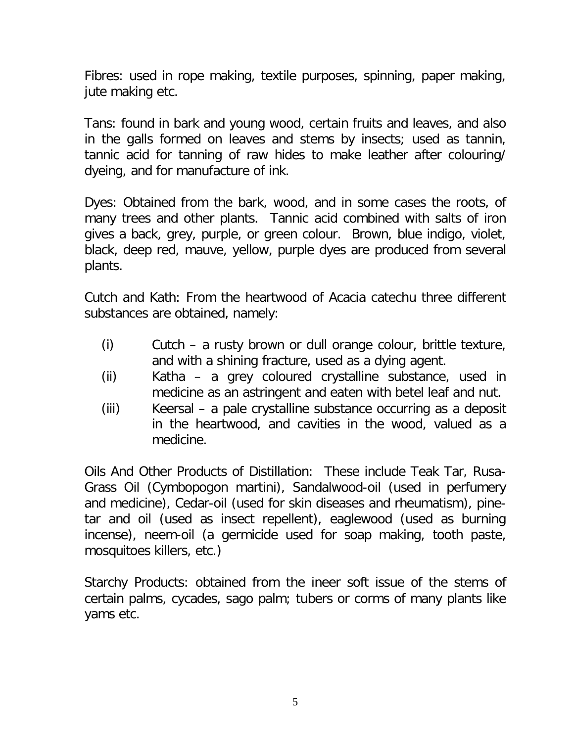*Fibres*: used in rope making, textile purposes, spinning, paper making, jute making etc.

*Tans*: found in bark and young wood, certain fruits and leaves, and also in the galls formed on leaves and stems by insects; used as tannin, tannic acid for tanning of raw hides to make leather after colouring/ dyeing, and for manufacture of ink.

*Dyes*: Obtained from the bark, wood, and in some cases the roots, of many trees and other plants. Tannic acid combined with salts of iron gives a back, grey, purple, or green colour. Brown, blue indigo, violet, black, deep red, mauve, yellow, purple dyes are produced from several plants.

*Cutch and Kath*: From the heartwood of Acacia catechu three different substances are obtained, namely:

- (i) Cutch a rusty brown or dull orange colour, brittle texture, and with a shining fracture, used as a dying agent.
- (ii) Katha a grey coloured crystalline substance, used in medicine as an astringent and eaten with betel leaf and nut.
- (iii) Keersal a pale crystalline substance occurring as a deposit in the heartwood, and cavities in the wood, valued as a medicine.

*Oils And Other Products of Distillation*: These include Teak Tar, Rusa-Grass Oil (Cymbopogon martini), Sandalwood-oil (used in perfumery and medicine), Cedar-oil (used for skin diseases and rheumatism), pinetar and oil (used as insect repellent), eaglewood (used as burning incense), neem-oil (a germicide used for soap making, tooth paste, mosquitoes killers, etc.)

*Starchy Products*: obtained from the ineer soft issue of the stems of certain palms, cycades, sago palm; tubers or corms of many plants like yams etc.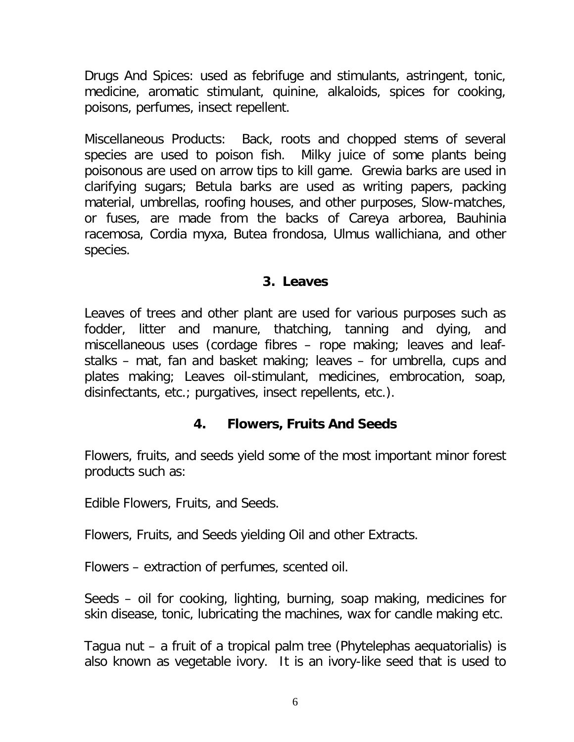*Drugs And Spices*: used as febrifuge and stimulants, astringent, tonic, medicine, aromatic stimulant, quinine, alkaloids, spices for cooking, poisons, perfumes, insect repellent.

*Miscellaneous Products*: Back, roots and chopped stems of several species are used to poison fish. Milky juice of some plants being poisonous are used on arrow tips to kill game. Grewia barks are used in clarifying sugars; Betula barks are used as writing papers, packing material, umbrellas, roofing houses, and other purposes, Slow-matches, or fuses, are made from the backs of Careya arborea, Bauhinia racemosa, Cordia myxa, Butea frondosa, Ulmus wallichiana, and other species.

#### **3. Leaves**

Leaves of trees and other plant are used for various purposes such as fodder, litter and manure, thatching, tanning and dying, and miscellaneous uses (cordage fibres – rope making; leaves and leafstalks – mat, fan and basket making; leaves – for umbrella, cups and plates making; Leaves oil-stimulant, medicines, embrocation, soap, disinfectants, etc.; purgatives, insect repellents, etc.).

### **4. Flowers, Fruits And Seeds**

Flowers, fruits, and seeds yield some of the most important minor forest products such as:

*Edible* Flowers, Fruits, and Seeds.

*Flowers, Fruits, and Seeds yielding Oil and other Extracts.*

*Flowers* – extraction of perfumes, scented oil.

*Seeds* – oil for cooking, lighting, burning, soap making, medicines for skin disease, tonic, lubricating the machines, wax for candle making etc.

*Tagua nut* – a fruit of a tropical palm tree (Phytelephas aequatorialis) is also known as vegetable ivory. It is an ivory-like seed that is used to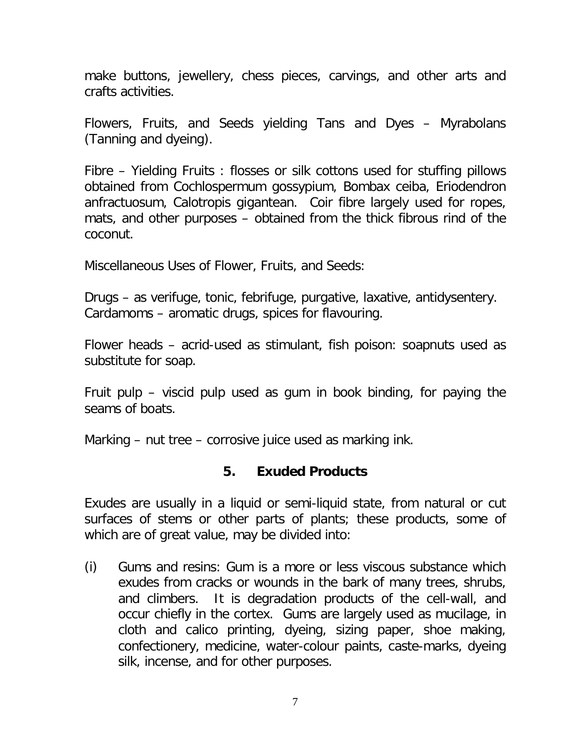make buttons, jewellery, chess pieces, carvings, and other arts and crafts activities.

*Flowers, Fruits, and Seeds yielding Tans and Dyes* – Myrabolans (Tanning and dyeing).

*Fibre – Yielding Fruits* : flosses or silk cottons used for stuffing pillows obtained from Cochlospermum gossypium, Bombax ceiba, Eriodendron anfractuosum, Calotropis gigantean. Coir fibre largely used for ropes, mats, and other purposes – obtained from the thick fibrous rind of the coconut.

*Miscellaneous Uses of Flower, Fruits, and Seeds:*

*Drugs* – as verifuge, tonic, febrifuge, purgative, laxative, antidysentery. *Cardamoms* – aromatic drugs, spices for flavouring.

*Flower heads* – acrid-used as stimulant, fish poison: soapnuts used as substitute for soap.

*Fruit pulp –* viscid pulp used as gum in book binding, for paying the seams of boats.

*Marking – nut tree* – corrosive juice used as marking ink.

#### **5. Exuded Products**

Exudes are usually in a liquid or semi-liquid state, from natural or cut surfaces of stems or other parts of plants; these products, some of which are of great value, may be divided into:

(i) *Gums and resins*: Gum is a more or less viscous substance which exudes from cracks or wounds in the bark of many trees, shrubs, and climbers. It is degradation products of the cell-wall, and occur chiefly in the cortex. Gums are largely used as mucilage, in cloth and calico printing, dyeing, sizing paper, shoe making, confectionery, medicine, water-colour paints, caste-marks, dyeing silk, incense, and for other purposes.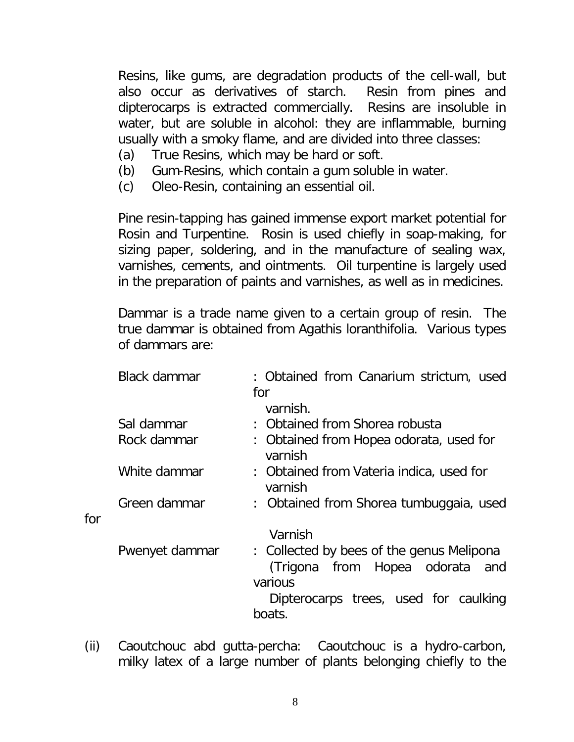Resins, like gums, are degradation products of the cell-wall, but also occur as derivatives of starch. Resin from pines and dipterocarps is extracted commercially. Resins are insoluble in water, but are soluble in alcohol: they are inflammable, burning usually with a smoky flame, and are divided into three classes:

- (a) True Resins, which may be hard or soft.
- (b) Gum-Resins, which contain a gum soluble in water.
- (c) Oleo-Resin, containing an essential oil.

for

Pine resin-tapping has gained immense export market potential for Rosin and Turpentine. Rosin is used chiefly in soap-making, for sizing paper, soldering, and in the manufacture of sealing wax, varnishes, cements, and ointments. Oil turpentine is largely used in the preparation of paints and varnishes, as well as in medicines.

Dammar is a trade name given to a certain group of resin. The true dammar is obtained from Agathis loranthifolia. Various types of dammars are:

| Black dammar   | : Obtained from Canarium strictum, used                                                    |
|----------------|--------------------------------------------------------------------------------------------|
|                | for                                                                                        |
|                | varnish.                                                                                   |
| Sal dammar     | : Obtained from Shorea robusta                                                             |
| Rock dammar    | : Obtained from Hopea odorata, used for<br>varnish                                         |
| White dammar   | : Obtained from Vateria indica, used for<br>varnish                                        |
| Green dammar   | : Obtained from Shorea tumbuggaia, used                                                    |
|                | Varnish                                                                                    |
| Pwenyet dammar | : Collected by bees of the genus Melipona<br>(Trigona from Hopea odorata<br>and<br>various |
|                | Dipterocarps trees, used for caulking                                                      |
|                | boats.                                                                                     |

(ii) Caoutchouc abd gutta-percha: Caoutchouc is a hydro-carbon, milky latex of a large number of plants belonging chiefly to the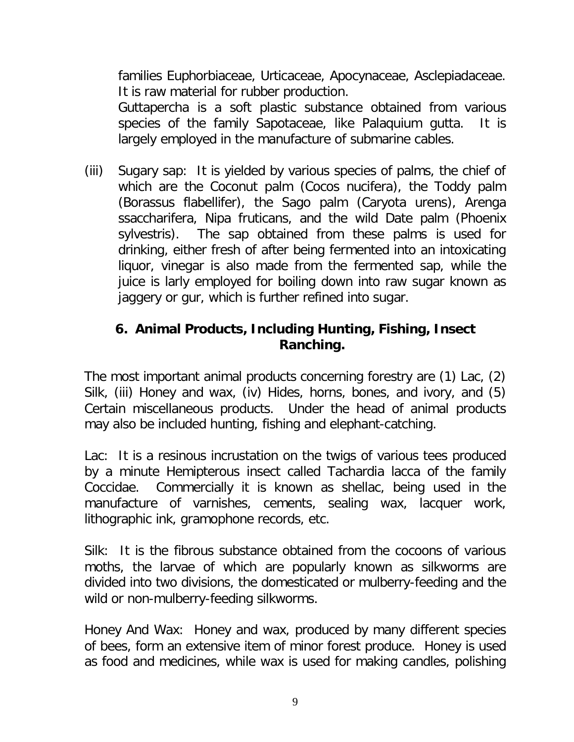families Euphorbiaceae, Urticaceae, Apocynaceae, Asclepiadaceae. It is raw material for rubber production. Guttapercha is a soft plastic substance obtained from various species of the family Sapotaceae, like Palaquium gutta. It is largely employed in the manufacture of submarine cables.

(iii) Sugary sap: It is yielded by various species of palms, the chief of which are the Coconut palm (Cocos nucifera), the Toddy palm (Borassus flabellifer), the Sago palm (Caryota urens), Arenga ssaccharifera, Nipa fruticans, and the wild Date palm (Phoenix sylvestris). The sap obtained from these palms is used for drinking, either fresh of after being fermented into an intoxicating liquor, vinegar is also made from the fermented sap, while the juice is larly employed for boiling down into raw sugar known as jaggery or gur, which is further refined into sugar.

## **6. Animal Products, Including Hunting, Fishing, Insect Ranching.**

The most important animal products concerning forestry are (1) Lac, (2) Silk, (iii) Honey and wax, (iv) Hides, horns, bones, and ivory, and (5) Certain miscellaneous products. Under the head of animal products may also be included hunting, fishing and elephant-catching.

*Lac*: It is a resinous incrustation on the twigs of various tees produced by a minute Hemipterous insect called Tachardia lacca of the family Coccidae. Commercially it is known as shellac, being used in the manufacture of varnishes, cements, sealing wax, lacquer work, lithographic ink, gramophone records, etc.

*Silk*: It is the fibrous substance obtained from the cocoons of various moths, the larvae of which are popularly known as silkworms are divided into two divisions, the domesticated or mulberry-feeding and the wild or non-mulberry-feeding silkworms.

*Honey And Wax*: Honey and wax, produced by many different species of bees, form an extensive item of minor forest produce. Honey is used as food and medicines, while wax is used for making candles, polishing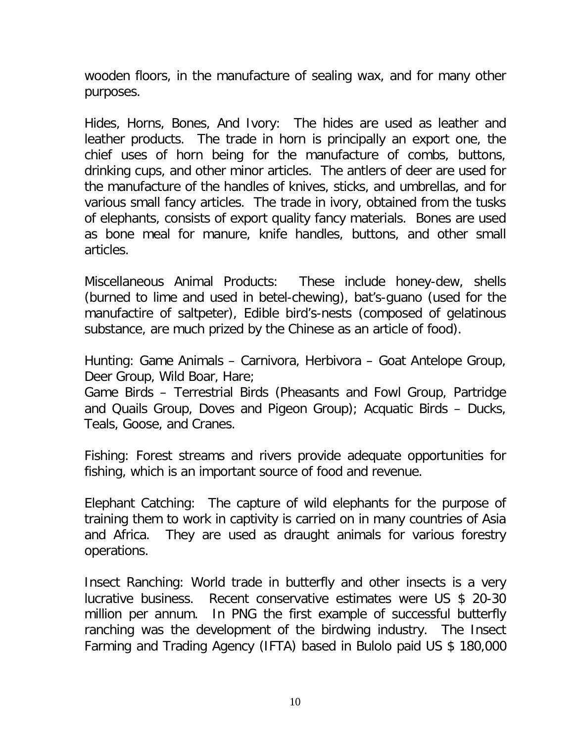wooden floors, in the manufacture of sealing wax, and for many other purposes.

*Hides, Horns, Bones, And Ivory*: The hides are used as leather and leather products. The trade in horn is principally an export one, the chief uses of horn being for the manufacture of combs, buttons, drinking cups, and other minor articles. The antlers of deer are used for the manufacture of the handles of knives, sticks, and umbrellas, and for various small fancy articles. The trade in ivory, obtained from the tusks of elephants, consists of export quality fancy materials. Bones are used as bone meal for manure, knife handles, buttons, and other small articles.

*Miscellaneous Animal Products*: These include honey-dew, shells (burned to lime and used in betel-chewing), bat's-guano (used for the manufactire of saltpeter), Edible bird's-nests (composed of gelatinous substance, are much prized by the Chinese as an article of food).

*Hunting: Game Animals* – Carnivora, Herbivora – Goat Antelope Group, Deer Group, Wild Boar, Hare;

*Game Birds* – Terrestrial Birds (Pheasants and Fowl Group, Partridge and Quails Group, Doves and Pigeon Group); Acquatic Birds – Ducks, Teals, Goose, and Cranes.

*Fishing*: Forest streams and rivers provide adequate opportunities for fishing, which is an important source of food and revenue.

*Elephant Catching*: The capture of wild elephants for the purpose of training them to work in captivity is carried on in many countries of Asia and Africa. They are used as draught animals for various forestry operations.

*Insect Ranching*: World trade in butterfly and other insects is a very lucrative business. Recent conservative estimates were US \$ 20-30 million per annum. In PNG the first example of successful butterfly ranching was the development of the birdwing industry. The Insect Farming and Trading Agency (IFTA) based in Bulolo paid US \$ 180,000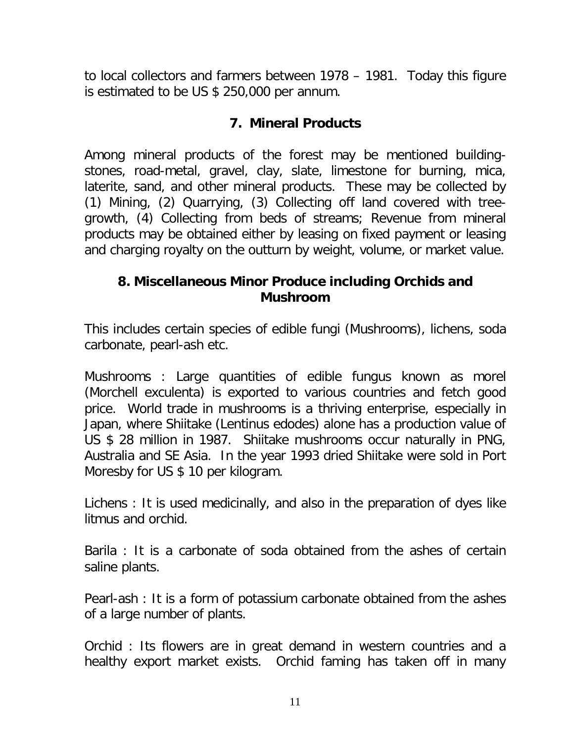to local collectors and farmers between 1978 – 1981. Today this figure is estimated to be US \$ 250,000 per annum.

### **7. Mineral Products**

Among mineral products of the forest may be mentioned buildingstones, road-metal, gravel, clay, slate, limestone for burning, mica, laterite, sand, and other mineral products. These may be collected by (1) Mining, (2) Quarrying, (3) Collecting off land covered with treegrowth, (4) Collecting from beds of streams; Revenue from mineral products may be obtained either by leasing on fixed payment or leasing and charging royalty on the outturn by weight, volume, or market value.

## **8. Miscellaneous Minor Produce including Orchids and Mushroom**

This includes certain species of edible fungi (Mushrooms), lichens, soda carbonate, pearl-ash etc.

*Mushrooms* : Large quantities of edible fungus known as morel (Morchell exculenta) is exported to various countries and fetch good price. World trade in mushrooms is a thriving enterprise, especially in Japan, where Shiitake (Lentinus edodes) alone has a production value of US \$ 28 million in 1987. Shiitake mushrooms occur naturally in PNG, Australia and SE Asia. In the year 1993 dried Shiitake were sold in Port Moresby for US \$ 10 per kilogram.

*Lichens* : It is used medicinally, and also in the preparation of dyes like litmus and orchid.

*Barila* : It is a carbonate of soda obtained from the ashes of certain saline plants.

*Pearl-ash* : It is a form of potassium carbonate obtained from the ashes of a large number of plants.

*Orchid* : Its flowers are in great demand in western countries and a healthy export market exists. Orchid faming has taken off in many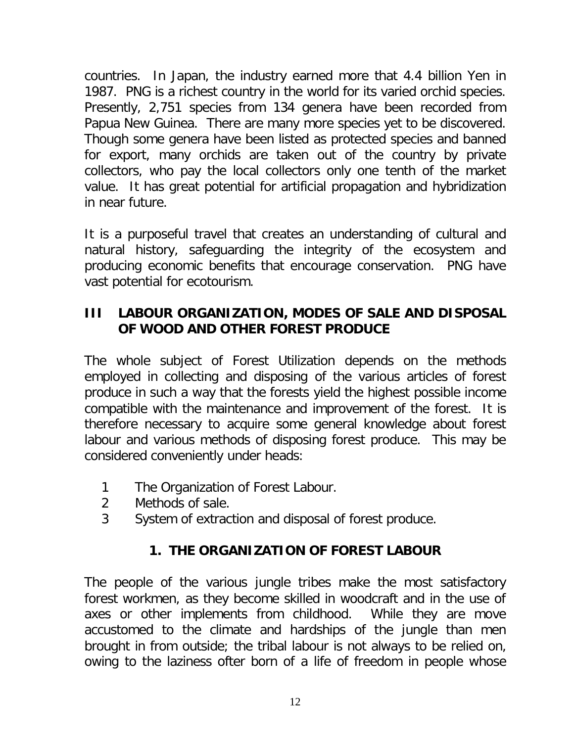countries. In Japan, the industry earned more that 4.4 billion Yen in 1987. PNG is a richest country in the world for its varied orchid species. Presently, 2,751 species from 134 genera have been recorded from Papua New Guinea. There are many more species yet to be discovered. Though some genera have been listed as protected species and banned for export, many orchids are taken out of the country by private collectors, who pay the local collectors only one tenth of the market value. It has great potential for artificial propagation and hybridization in near future.

It is a purposeful travel that creates an understanding of cultural and natural history, safeguarding the integrity of the ecosystem and producing economic benefits that encourage conservation. PNG have vast potential for ecotourism.

# **III LABOUR ORGANIZATION, MODES OF SALE AND DISPOSAL OF WOOD AND OTHER FOREST PRODUCE**

The whole subject of Forest Utilization depends on the methods employed in collecting and disposing of the various articles of forest produce in such a way that the forests yield the highest possible income compatible with the maintenance and improvement of the forest. It is therefore necessary to acquire some general knowledge about forest labour and various methods of disposing forest produce. This may be considered conveniently under heads:

- 1 The Organization of Forest Labour.
- 2 Methods of sale.
- 3 System of extraction and disposal of forest produce.

# **1. THE ORGANIZATION OF FOREST LABOUR**

The people of the various jungle tribes make the most satisfactory forest workmen, as they become skilled in woodcraft and in the use of axes or other implements from childhood. While they are move accustomed to the climate and hardships of the jungle than men brought in from outside; the tribal labour is not always to be relied on, owing to the laziness ofter born of a life of freedom in people whose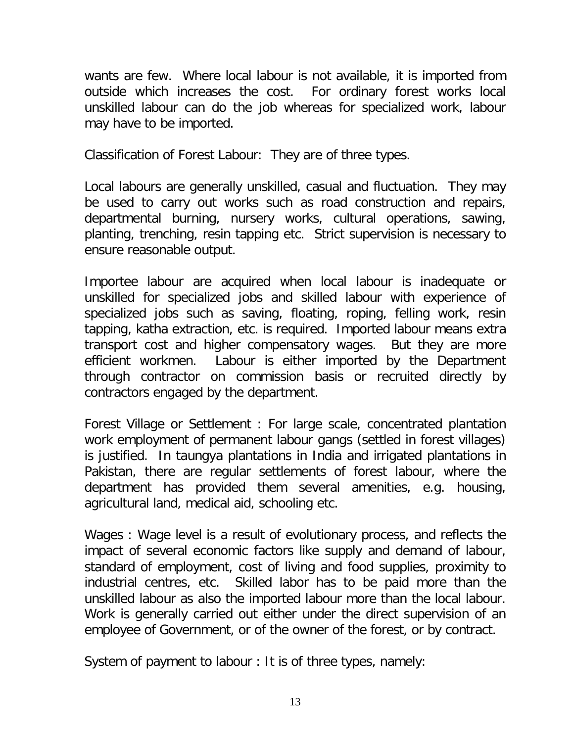wants are few. Where local labour is not available, it is imported from outside which increases the cost. For ordinary forest works local unskilled labour can do the job whereas for specialized work, labour may have to be imported.

*Classification of Forest Labour*: They are of three types.

*Local labour*s are generally unskilled, casual and fluctuation. They may be used to carry out works such as road construction and repairs, departmental burning, nursery works, cultural operations, sawing, planting, trenching, resin tapping etc. Strict supervision is necessary to ensure reasonable output.

*Importee labour* are acquired when local labour is inadequate or unskilled for specialized jobs and skilled labour with experience of specialized jobs such as saving, floating, roping, felling work, resin tapping, katha extraction, etc. is required. Imported labour means extra transport cost and higher compensatory wages. But they are more efficient workmen. Labour is either imported by the Department through contractor on commission basis or recruited directly by contractors engaged by the department.

*Forest Village or Settlement* : For large scale, concentrated plantation work employment of permanent labour gangs (settled in forest villages) is justified. In taungya plantations in India and irrigated plantations in Pakistan, there are regular settlements of forest labour, where the department has provided them several amenities, e.g. housing, agricultural land, medical aid, schooling etc.

*Wages* : Wage level is a result of evolutionary process, and reflects the impact of several economic factors like supply and demand of labour, standard of employment, cost of living and food supplies, proximity to industrial centres, etc. Skilled labor has to be paid more than the unskilled labour as also the imported labour more than the local labour. Work is generally carried out either under the direct supervision of an employee of Government, or of the owner of the forest, or by contract.

*System of payment to labour* : It is of three types, namely: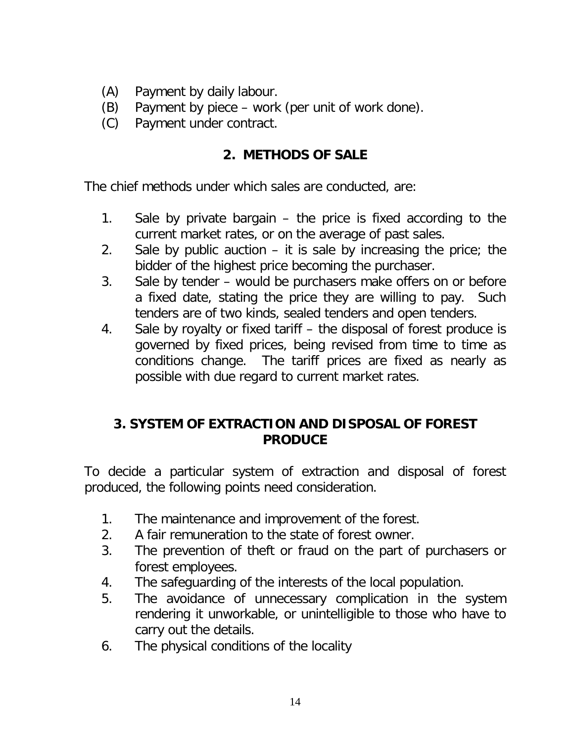- (A) Payment by daily labour.
- (B) Payment by piece work (per unit of work done).
- (C) Payment under contract.

## **2. METHODS OF SALE**

The chief methods under which sales are conducted, are:

- 1. *Sale by private bargain*  the price is fixed according to the current market rates, or on the average of past sales.
- 2. *Sale by public auction* it is sale by increasing the price; the bidder of the highest price becoming the purchaser.
- 3. *Sale by tender* would be purchasers make offers on or before a fixed date, stating the price they are willing to pay. Such tenders are of two kinds, sealed tenders and open tenders.
- 4. *Sale by royalty or fixed tariff* the disposal of forest produce is governed by fixed prices, being revised from time to time as conditions change. The tariff prices are fixed as nearly as possible with due regard to current market rates.

# **3. SYSTEM OF EXTRACTION AND DISPOSAL OF FOREST PRODUCE**

To decide a particular system of extraction and disposal of forest produced, the following points need consideration.

- 1. The maintenance and improvement of the forest.
- 2. A fair remuneration to the state of forest owner.
- 3. The prevention of theft or fraud on the part of purchasers or forest employees.
- 4. The safeguarding of the interests of the local population.
- 5. The avoidance of unnecessary complication in the system rendering it unworkable, or unintelligible to those who have to carry out the details.
- 6. The physical conditions of the locality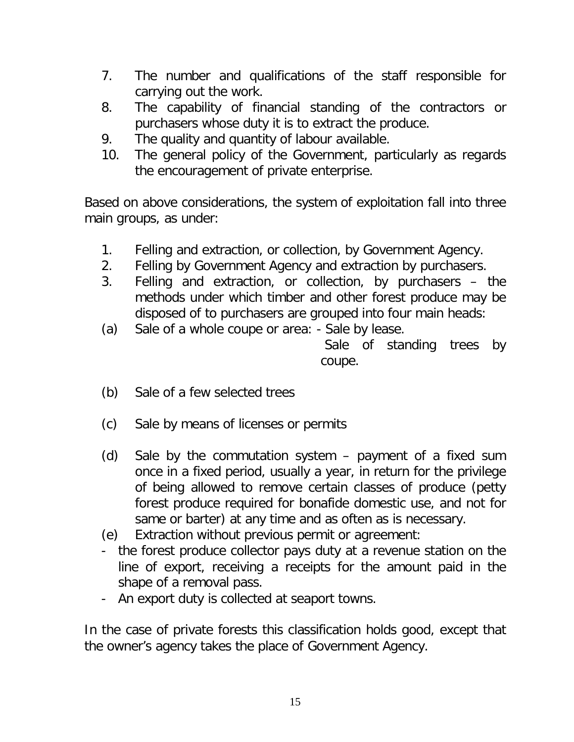- 7. The number and qualifications of the staff responsible for carrying out the work.
- 8. The capability of financial standing of the contractors or purchasers whose duty it is to extract the produce.
- 9. The quality and quantity of labour available.
- 10. The general policy of the Government, particularly as regards the encouragement of private enterprise.

Based on above considerations, the system of exploitation fall into three main groups, as under:

- 1. Felling and extraction, or collection, by Government Agency.
- 2. Felling by Government Agency and extraction by purchasers.
- 3. Felling and extraction, or collection, by purchasers the methods under which timber and other forest produce may be disposed of to purchasers are grouped into four main heads:
- (a) Sale of a whole coupe or area: Sale by lease.

Sale of standing trees by coupe.

- (b) Sale of a few selected trees
- (c) Sale by means of licenses or permits
- (d) Sale by the commutation system payment of a fixed sum once in a fixed period, usually a year, in return for the privilege of being allowed to remove certain classes of produce (petty forest produce required for bonafide domestic use, and not for same or barter) at any time and as often as is necessary.
- (e) Extraction without previous permit or agreement:
- the forest produce collector pays duty at a revenue station on the line of export, receiving a receipts for the amount paid in the shape of a removal pass.
- An export duty is collected at seaport towns.

In the case of private forests this classification holds good, except that the owner's agency takes the place of Government Agency.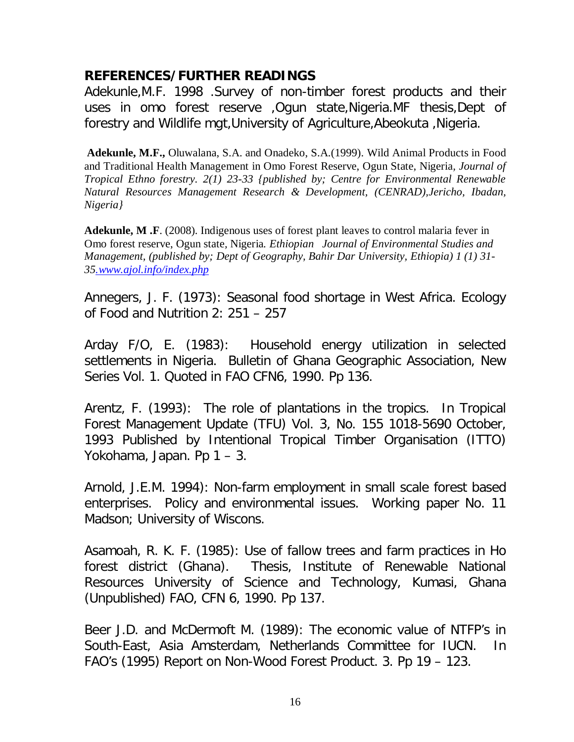### **REFERENCES/FURTHER READINGS**

Adekunle,M.F. 1998 .Survey of non-timber forest products and their uses in omo forest reserve ,Ogun state,Nigeria.MF thesis,Dept of forestry and Wildlife mgt,University of Agriculture,Abeokuta ,Nigeria.

**Adekunle, M.F.,** Oluwalana, S.A. and Onadeko, S.A.(1999). Wild Animal Products in Food and Traditional Health Management in Omo Forest Reserve, Ogun State, Nigeria*, Journal of Tropical Ethno forestry. 2(1) 23-33 {published by; Centre for Environmental Renewable Natural Resources Management Research & Development, (CENRAD),Jericho, Ibadan, Nigeria}*

**Adekunle, M .F**. (2008). Indigenous uses of forest plant leaves to control malaria fever in Omo forest reserve, Ogun state*,* Nigeria*. Ethiopian Journal of Environmental Studies and Management, (published by; Dept of Geography, Bahir Dar University, Ethiopia) 1 (1) 31- 35.www.ajol.info/index.php*

Annegers, J. F. (1973): Seasonal food shortage in West Africa. Ecology of Food and Nutrition 2: 251 – 257

Arday F/O, E. (1983): Household energy utilization in selected settlements in Nigeria. Bulletin of Ghana Geographic Association, New Series Vol. 1. Quoted in FAO CFN6, 1990. Pp 136.

Arentz, F. (1993): The role of plantations in the tropics. In Tropical Forest Management Update (TFU) Vol. 3, No. 155 1018-5690 October, 1993 Published by Intentional Tropical Timber Organisation (ITTO) Yokohama, Japan. Pp 1 – 3.

Arnold, J.E.M. 1994): Non-farm employment in small scale forest based enterprises. Policy and environmental issues. Working paper No. 11 Madson; University of Wiscons.

Asamoah, R. K. F. (1985): Use of fallow trees and farm practices in Ho forest district (Ghana). Thesis, Institute of Renewable National Resources University of Science and Technology, Kumasi, Ghana (Unpublished) FAO, CFN 6, 1990. Pp 137.

Beer J.D. and McDermoft M. (1989): The economic value of NTFP's in South-East, Asia Amsterdam, Netherlands Committee for IUCN. In FAO's (1995) Report on Non-Wood Forest Product. 3. Pp 19 – 123.